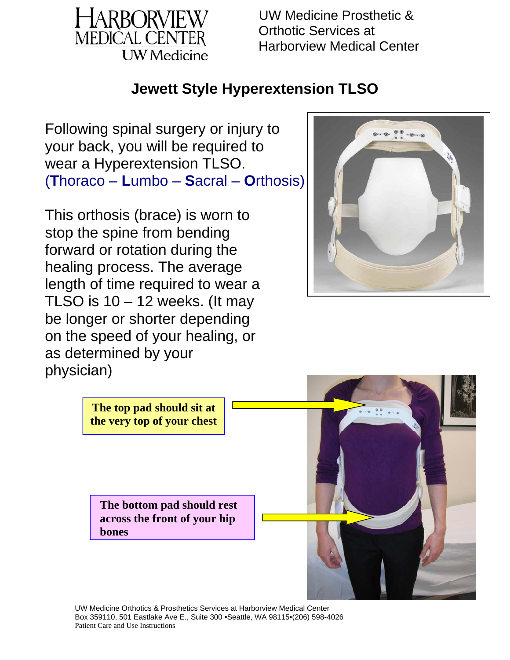

#### **Jewett Style Hyperextension TLSO**

Following spinal surgery or injury to your back, you will be required to wear a Hyperextension TLSO. (**T**horaco – **L**umbo – **S**acral – **O**rthosis)

This orthosis (brace) is worn to stop the spine from bending forward or rotation during the healing process. The average length of time required to wear a TLSO is  $10 - 12$  weeks. (It may be longer or shorter depending on the speed of your healing, or as determined by your physician)





UW Medicine Orthotics & Prosthetics Services at Harborview Medical Center Box 359110, 501 Eastlake Ave E., Suite 300 •Seattle, WA 98115•(206) 598-4026 Patient Care and Use Instructions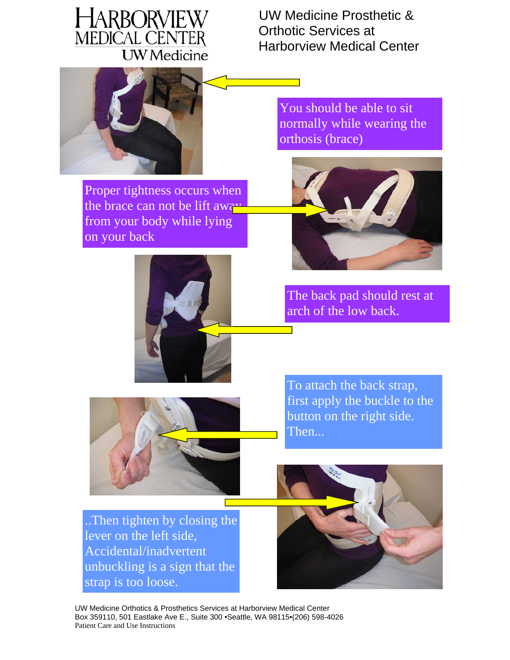

You should be able to sit

orthosis (brace)

normally while wearing the



Proper tightness occurs when the brace can not be lift away from your body while lying on your back



The back pad should rest at arch of the low back.



To attach the back strap, first apply the buckle to the button on the right side. Then...

..Then tighten by closing the lever on the left side, Accidental/inadvertent unbuckling is a sign that the strap is too loose.



UW Medicine Orthotics & Prosthetics Services at Harborview Medical Center Box 359110, 501 Eastlake Ave E., Suite 300 •Seattle, WA 98115•(206) 598-4026 Patient Care and Use Instructions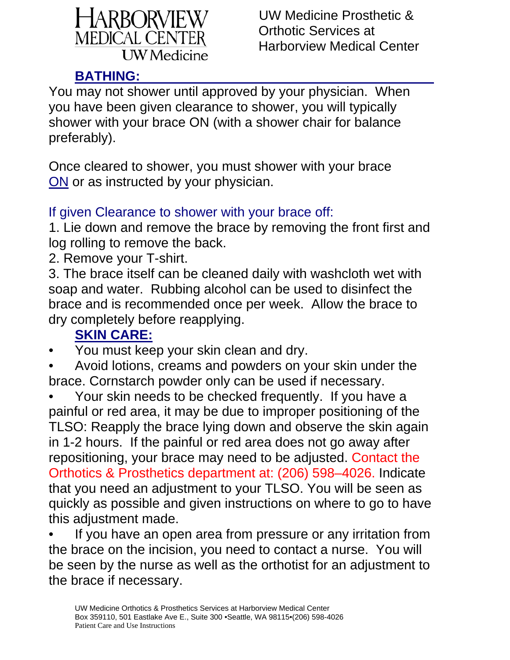

### **BATHING:**

You may not shower until approved by your physician. When you have been given clearance to shower, you will typically shower with your brace ON (with a shower chair for balance preferably).

Once cleared to shower, you must shower with your brace ON or as instructed by your physician.

#### If given Clearance to shower with your brace off:

1. Lie down and remove the brace by removing the front first and log rolling to remove the back.

2. Remove your T-shirt.

3. The brace itself can be cleaned daily with washcloth wet with soap and water. Rubbing alcohol can be used to disinfect the brace and is recommended once per week. Allow the brace to dry completely before reapplying.

## **SKIN CARE:**

• You must keep your skin clean and dry.

• Avoid lotions, creams and powders on your skin under the brace. Cornstarch powder only can be used if necessary.

• Your skin needs to be checked frequently. If you have a painful or red area, it may be due to improper positioning of the TLSO: Reapply the brace lying down and observe the skin again in 1-2 hours. If the painful or red area does not go away after repositioning, your brace may need to be adjusted. Contact the Orthotics & Prosthetics department at: (206) 598–4026. Indicate that you need an adjustment to your TLSO. You will be seen as quickly as possible and given instructions on where to go to have this adjustment made.

If you have an open area from pressure or any irritation from the brace on the incision, you need to contact a nurse. You will be seen by the nurse as well as the orthotist for an adjustment to the brace if necessary.